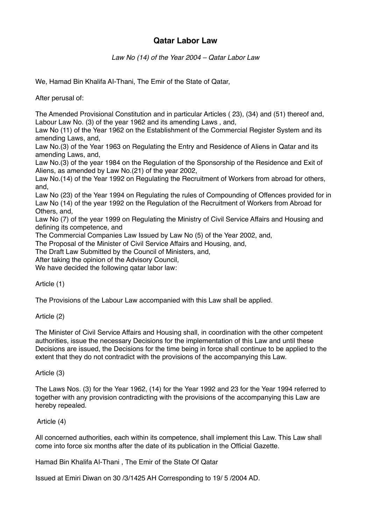# **Qatar Labor Law**

*Law No (14) of the Year 2004 – Qatar Labor Law*

We, Hamad Bin Khalifa AI-Thani, The Emir of the State of Qatar,

After perusal of:

The Amended Provisional Constitution and in particular Articles ( 23), (34) and (51) thereof and, Labour Law No. (3) of the year 1962 and its amending Laws , and,

Law No (11) of the Year 1962 on the Establishment of the Commercial Register System and its amending Laws, and,

Law No.(3) of the Year 1963 on Regulating the Entry and Residence of Aliens in Qatar and its amending Laws, and,

Law No.(3) of the year 1984 on the Regulation of the Sponsorship of the Residence and Exit of Aliens, as amended by Law No.(21) of the year 2002,

Law No.(14) of the Year 1992 on Regulating the Recruitment of Workers from abroad for others, and,

Law No (23) of the Year 1994 on Regulating the rules of Compounding of Offences provided for in Law No (14) of the year 1992 on the Regulation of the Recruitment of Workers from Abroad for Others, and,

Law No (7) of the year 1999 on Regulating the Ministry of Civil Service Affairs and Housing and defining its competence, and

The Commercial Companies Law Issued by Law No (5) of the Year 2002, and,

The Proposal of the Minister of Civil Service Affairs and Housing, and,

The Draft Law Submitted by the Council of Ministers, and,

After taking the opinion of the Advisory Council,

We have decided the following qatar labor law:

Article (1)

The Provisions of the Labour Law accompanied with this Law shall be applied.

Article (2)

The Minister of Civil Service Affairs and Housing shall, in coordination with the other competent authorities, issue the necessary Decisions for the implementation of this Law and until these Decisions are issued, the Decisions for the time being in force shall continue to be applied to the extent that they do not contradict with the provisions of the accompanying this Law.

Article (3)

The Laws Nos. (3) for the Year 1962, (14) for the Year 1992 and 23 for the Year 1994 referred to together with any provision contradicting with the provisions of the accompanying this Law are hereby repealed.

# Article (4)

All concerned authorities, each within its competence, shall implement this Law. This Law shall come into force six months after the date of its publication in the Official Gazette.

Hamad Bin Khalifa AI-Thani , The Emir of the State Of Qatar

Issued at Emiri Diwan on 30 /3/1425 AH Corresponding to 19/ 5 /2004 AD.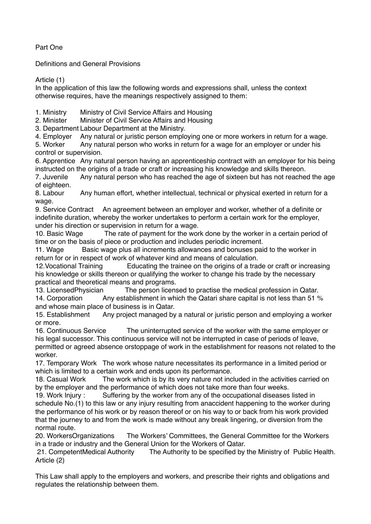Part One

Definitions and General Provisions

Article (1)

In the application of this law the following words and expressions shall, unless the context otherwise requires, have the meanings respectively assigned to them:

1. Ministry Ministry of Civil Service Affairs and Housing

2. Minister Minister of Civil Service Affairs and Housing

3. Department Labour Department at the Ministry.

4. Employer Any natural or juristic person employing one or more workers in return for a wage.

5. Worker Any natural person who works in return for a wage for an employer or under his control or supervision.

6. Apprentice Any natural person having an apprenticeship contract with an employer for his being instructed on the origins of a trade or craft or increasing his knowledge and skills thereon.

7. Juvenile Any natural person who has reached the age of sixteen but has not reached the age of eighteen.

8. Labour Any human effort, whether intellectual, technical or physical exerted in return for a wage.

9. Service Contract An agreement between an employer and worker, whether of a definite or indefinite duration, whereby the worker undertakes to perform a certain work for the employer, under his direction or supervision in return for a wage.

10. Basic Wage The rate of payment for the work done by the worker in a certain period of time or on the basis of piece or production and includes periodic increment.

11. Wage Basic wage plus all increments allowances and bonuses paid to the worker in return for or in respect of work of whatever kind and means of calculation.

12.Vocational Training Educating the trainee on the origins of a trade or craft or increasing his knowledge or skills thereon or qualifying the worker to change his trade by the necessary practical and theoretical means and programs.

13. LicensedPhysician The person licensed to practise the medical profession in Qatar. 14. Corporation Any establishment in which the Qatari share capital is not less than 51 %

and whose main place of business is in Qatar. 15. Establishment Any project managed by a natural or juristic person and employing a worker

or more.

16. Continuous Service The uninterrupted service of the worker with the same employer or his legal successor. This continuous service will not be interrupted in case of periods of leave, permitted or agreed absence orstoppage of work in the establishment for reasons not related to the worker.

17. Temporary Work The work whose nature necessitates its performance in a limited period or which is limited to a certain work and ends upon its performance.

18. Casual Work The work which is by its very nature not included in the activities carried on by the employer and the performance of which does not take more than four weeks.

19. Work Injury : Suffering by the worker from any of the occupational diseases listed in schedule No.(1) to this law or any injury resulting from anaccident happening to the worker during the performance of his work or by reason thereof or on his way to or back from his work provided that the journey to and from the work is made without any break lingering, or diversion from the normal route.

20. WorkersOrganizations The Workers' Committees, the General Committee for the Workers in a trade or industry and the General Union for the Workers of Qatar.

 21. CompetentMedical Authority The Authority to be specified by the Ministry of Public Health. Article (2)

This Law shall apply to the employers and workers, and prescribe their rights and obligations and regulates the relationship between them.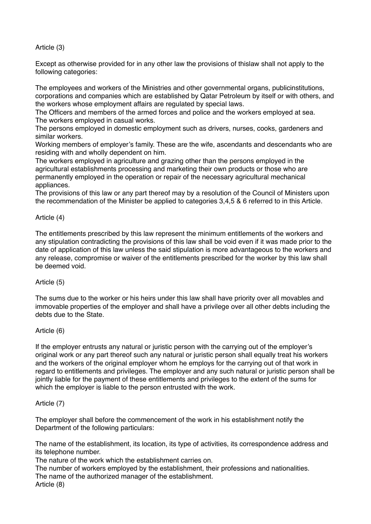# Article (3)

Except as otherwise provided for in any other law the provisions of thislaw shall not apply to the following categories:

The employees and workers of the Ministries and other governmental organs, publicinstitutions, corporations and companies which are established by Qatar Petroleum by itself or with others, and the workers whose employment affairs are regulated by special laws.

The Officers and members of the armed forces and police and the workers employed at sea. The workers employed in casual works.

The persons employed in domestic employment such as drivers, nurses, cooks, gardeners and similar workers.

Working members of employer's family. These are the wife, ascendants and descendants who are residing with and wholly dependent on him.

The workers employed in agriculture and grazing other than the persons employed in the agricultural establishments processing and marketing their own products or those who are permanently employed in the operation or repair of the necessary agricultural mechanical appliances.

The provisions of this law or any part thereof may by a resolution of the Council of Ministers upon the recommendation of the Minister be applied to categories 3,4,5 & 6 referred to in this Article.

# Article (4)

The entitlements prescribed by this law represent the minimum entitlements of the workers and any stipulation contradicting the provisions of this law shall be void even if it was made prior to the date of application of this law unless the said stipulation is more advantageous to the workers and any release, compromise or waiver of the entitlements prescribed for the worker by this law shall be deemed void.

# Article (5)

The sums due to the worker or his heirs under this law shall have priority over all movables and immovable properties of the employer and shall have a privilege over all other debts including the debts due to the State.

# Article (6)

If the employer entrusts any natural or juristic person with the carrying out of the employer's original work or any part thereof such any natural or juristic person shall equally treat his workers and the workers of the original employer whom he employs for the carrying out of that work in regard to entitlements and privileges. The employer and any such natural or juristic person shall be jointly liable for the payment of these entitlements and privileges to the extent of the sums for which the employer is liable to the person entrusted with the work.

# Article (7)

The employer shall before the commencement of the work in his establishment notify the Department of the following particulars:

The name of the establishment, its location, its type of activities, its correspondence address and its telephone number.

The nature of the work which the establishment carries on.

The number of workers employed by the establishment, their professions and nationalities. The name of the authorized manager of the establishment.

Article (8)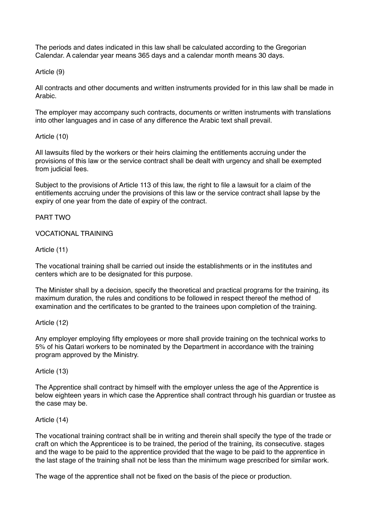The periods and dates indicated in this law shall be calculated according to the Gregorian Calendar. A calendar year means 365 days and a calendar month means 30 days.

### Article (9)

All contracts and other documents and written instruments provided for in this law shall be made in Arabic.

The employer may accompany such contracts, documents or written instruments with translations into other languages and in case of any difference the Arabic text shall prevail.

### Article (10)

All lawsuits filed by the workers or their heirs claiming the entitlements accruing under the provisions of this law or the service contract shall be dealt with urgency and shall be exempted from judicial fees.

Subject to the provisions of Article 113 of this law, the right to file a lawsuit for a claim of the entitlements accruing under the provisions of this law or the service contract shall lapse by the expiry of one year from the date of expiry of the contract.

### PART TWO

### VOCATIONAL TRAINING

### Article (11)

The vocational training shall be carried out inside the establishments or in the institutes and centers which are to be designated for this purpose.

The Minister shall by a decision, specify the theoretical and practical programs for the training, its maximum duration, the rules and conditions to be followed in respect thereof the method of examination and the certificates to be granted to the trainees upon completion of the training.

#### Article (12)

Any employer employing fifty employees or more shall provide training on the technical works to 5% of his Qatari workers to be nominated by the Department in accordance with the training program approved by the Ministry.

#### Article (13)

The Apprentice shall contract by himself with the employer unless the age of the Apprentice is below eighteen years in which case the Apprentice shall contract through his guardian or trustee as the case may be.

#### Article (14)

The vocational training contract shall be in writing and therein shall specify the type of the trade or craft on which the Apprenticee is to be trained, the period of the training, its consecutive. stages and the wage to be paid to the apprentice provided that the wage to be paid to the apprentice in the last stage of the training shall not be less than the minimum wage prescribed for similar work.

The wage of the apprentice shall not be fixed on the basis of the piece or production.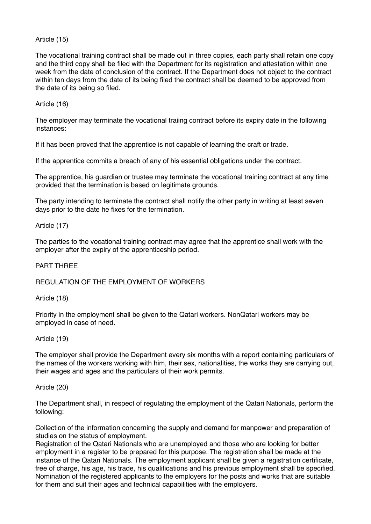# Article (15)

The vocational training contract shall be made out in three copies, each party shall retain one copy and the third copy shall be filed with the Department for its registration and attestation within one week from the date of conclusion of the contract. If the Department does not object to the contract within ten days from the date of its being filed the contract shall be deemed to be approved from the date of its being so filed.

# Article (16)

The employer may terminate the vocational traiing contract before its expiry date in the following instances:

If it has been proved that the apprentice is not capable of learning the craft or trade.

If the apprentice commits a breach of any of his essential obligations under the contract.

The apprentice, his guardian or trustee may terminate the vocational training contract at any time provided that the termination is based on legitimate grounds.

The party intending to terminate the contract shall notify the other party in writing at least seven days prior to the date he fixes for the termination.

### Article (17)

The parties to the vocational training contract may agree that the apprentice shall work with the employer after the expiry of the apprenticeship period.

#### PART THREE

### REGULATION OF THE EMPLOYMENT OF WORKERS

Article (18)

Priority in the employment shall be given to the Qatari workers. NonQatari workers may be employed in case of need.

#### Article (19)

The employer shall provide the Department every six months with a report containing particulars of the names of the workers working with him, their sex, nationalities, the works they are carrying out, their wages and ages and the particulars of their work permits.

#### Article (20)

The Department shall, in respect of regulating the employment of the Qatari Nationals, perform the following:

Collection of the information concerning the supply and demand for manpower and preparation of studies on the status of employment.

Registration of the Qatari Nationals who are unemployed and those who are looking for better employment in a register to be prepared for this purpose. The registration shall be made at the instance of the Qatari Nationals. The employment applicant shall be given a registration certificate, free of charge, his age, his trade, his qualifications and his previous employment shall be specified. Nomination of the registered applicants to the employers for the posts and works that are suitable for them and suit their ages and technical capabilities with the employers.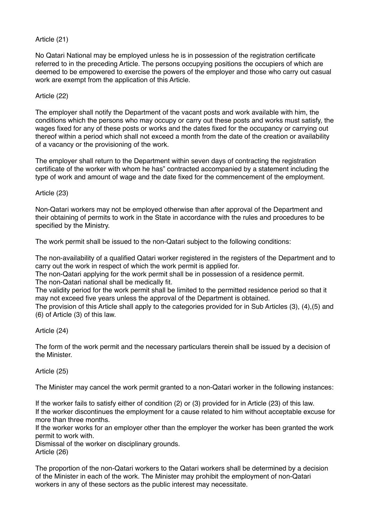# Article (21)

No Qatari National may be employed unless he is in possession of the registration certificate referred to in the preceding Article. The persons occupying positions the occupiers of which are deemed to be empowered to exercise the powers of the employer and those who carry out casual work are exempt from the application of this Article.

# Article (22)

The employer shall notify the Department of the vacant posts and work available with him, the conditions which the persons who may occupy or carry out these posts and works must satisfy, the wages fixed for any of these posts or works and the dates fixed for the occupancy or carrying out thereof within a period which shall not exceed a month from the date of the creation or availability of a vacancy or the provisioning of the work.

The employer shall return to the Department within seven days of contracting the registration certificate of the worker with whom he has" contracted accompanied by a statement including the type of work and amount of wage and the date fixed for the commencement of the employment.

Article (23)

Non-Qatari workers may not be employed otherwise than after approval of the Department and their obtaining of permits to work in the State in accordance with the rules and procedures to be specified by the Ministry.

The work permit shall be issued to the non-Qatari subject to the following conditions:

The non-availability of a qualified Qatari worker registered in the registers of the Department and to carry out the work in respect of which the work permit is applied for.

The non-Qatari applying for the work permit shall be in possession of a residence permit. The non-Qatari national shall be medically fit.

The validity period for the work permit shall be limited to the permitted residence period so that it may not exceed five years unless the approval of the Department is obtained.

The provision of this Article shall apply to the categories provided for in Sub Articles (3), (4),(5) and (6) of Article (3) of this law.

Article (24)

The form of the work permit and the necessary particulars therein shall be issued by a decision of the Minister.

Article (25)

The Minister may cancel the work permit granted to a non-Qatari worker in the following instances:

If the worker fails to satisfy either of condition (2) or (3) provided for in Article (23) of this law. If the worker discontinues the employment for a cause related to him without acceptable excuse for more than three months.

If the worker works for an employer other than the employer the worker has been granted the work permit to work with.

Dismissal of the worker on disciplinary grounds.

Article (26)

The proportion of the non-Qatari workers to the Qatari workers shall be determined by a decision of the Minister in each of the work. The Minister may prohibit the employment of non-Qatari workers in any of these sectors as the public interest may necessitate.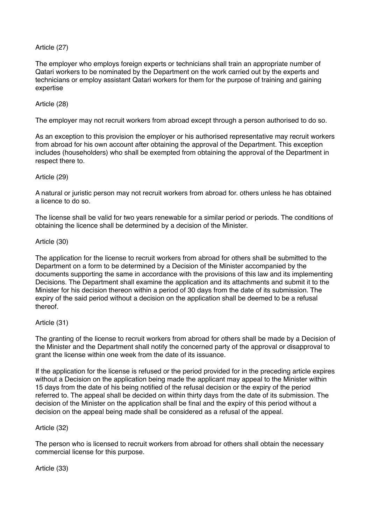# Article (27)

The employer who employs foreign experts or technicians shall train an appropriate number of Qatari workers to be nominated by the Department on the work carried out by the experts and technicians or employ assistant Qatari workers for them for the purpose of training and gaining expertise

# Article (28)

The employer may not recruit workers from abroad except through a person authorised to do so.

As an exception to this provision the employer or his authorised representative may recruit workers from abroad for his own account after obtaining the approval of the Department. This exception includes (householders) who shall be exempted from obtaining the approval of the Department in respect there to.

# Article (29)

A natural or juristic person may not recruit workers from abroad for. others unless he has obtained a licence to do so.

The license shall be valid for two years renewable for a similar period or periods. The conditions of obtaining the licence shall be determined by a decision of the Minister.

### Article (30)

The application for the license to recruit workers from abroad for others shall be submitted to the Department on a form to be determined by a Decision of the Minister accompanied by the documents supporting the same in accordance with the provisions of this law and its implementing Decisions. The Department shall examine the application and its attachments and submit it to the Minister for his decision thereon within a period of 30 days from the date of its submission. The expiry of the said period without a decision on the application shall be deemed to be a refusal thereof.

# Article (31)

The granting of the license to recruit workers from abroad for others shall be made by a Decision of the Minister and the Department shall notify the concerned party of the approval or disapproval to grant the license within one week from the date of its issuance.

If the application for the license is refused or the period provided for in the preceding article expires without a Decision on the application being made the applicant may appeal to the Minister within 15 days from the date of his being notified of the refusal decision or the expiry of the period referred to. The appeal shall be decided on within thirty days from the date of its submission. The decision of the Minister on the application shall be final and the expiry of this period without a decision on the appeal being made shall be considered as a refusal of the appeal.

# Article (32)

The person who is licensed to recruit workers from abroad for others shall obtain the necessary commercial license for this purpose.

Article (33)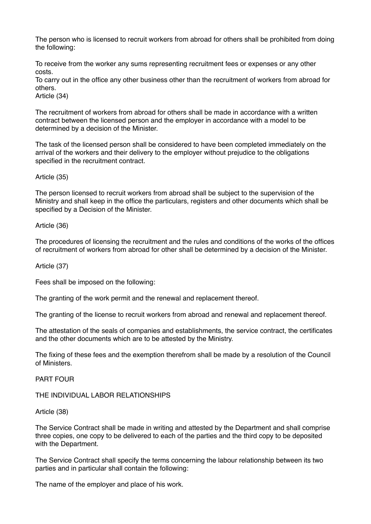The person who is licensed to recruit workers from abroad for others shall be prohibited from doing the following:

To receive from the worker any sums representing recruitment fees or expenses or any other costs.

To carry out in the office any other business other than the recruitment of workers from abroad for others.

Article (34)

The recruitment of workers from abroad for others shall be made in accordance with a written contract between the licensed person and the employer in accordance with a model to be determined by a decision of the Minister.

The task of the licensed person shall be considered to have been completed immediately on the arrival of the workers and their delivery to the employer without prejudice to the obligations specified in the recruitment contract.

Article (35)

The person licensed to recruit workers from abroad shall be subject to the supervision of the Ministry and shall keep in the office the particulars, registers and other documents which shall be specified by a Decision of the Minister.

Article (36)

The procedures of licensing the recruitment and the rules and conditions of the works of the offices of recruitment of workers from abroad for other shall be determined by a decision of the Minister.

#### Article (37)

Fees shall be imposed on the following:

The granting of the work permit and the renewal and replacement thereof.

The granting of the license to recruit workers from abroad and renewal and replacement thereof.

The attestation of the seals of companies and establishments, the service contract, the certificates and the other documents which are to be attested by the Ministry.

The fixing of these fees and the exemption therefrom shall be made by a resolution of the Council of Ministers.

PART FOUR

THE INDIVIDUAL LABOR RELATIONSHIPS

Article (38)

The Service Contract shall be made in writing and attested by the Department and shall comprise three copies, one copy to be delivered to each of the parties and the third copy to be deposited with the Department.

The Service Contract shall specify the terms concerning the labour relationship between its two parties and in particular shall contain the following:

The name of the employer and place of his work.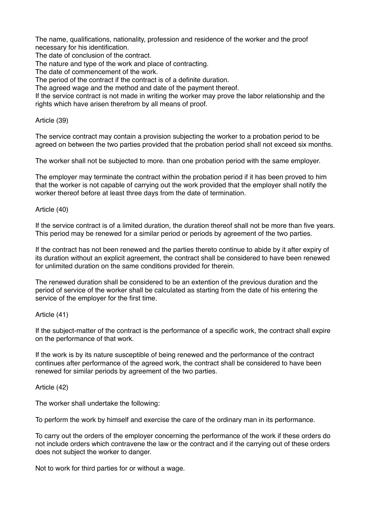The name, qualifications, nationality, profession and residence of the worker and the proof necessary for his identification.

The date of conclusion of the contract.

The nature and type of the work and place of contracting.

The date of commencement of the work.

The period of the contract if the contract is of a definite duration.

The agreed wage and the method and date of the payment thereof.

If the service contract is not made in writing the worker may prove the labor relationship and the rights which have arisen therefrom by all means of proof.

#### Article (39)

The service contract may contain a provision subjecting the worker to a probation period to be agreed on between the two parties provided that the probation period shall not exceed six months.

The worker shall not be subjected to more. than one probation period with the same employer.

The employer may terminate the contract within the probation period if it has been proved to him that the worker is not capable of carrying out the work provided that the employer shall notify the worker thereof before at least three days from the date of termination.

### Article (40)

If the service contract is of a limited duration, the duration thereof shall not be more than five years. This period may be renewed for a similar period or periods by agreement of the two parties.

If the contract has not been renewed and the parties thereto continue to abide by it after expiry of its duration without an explicit agreement, the contract shall be considered to have been renewed for unlimited duration on the same conditions provided for therein.

The renewed duration shall be considered to be an extention of the previous duration and the period of service of the worker shall be calculated as starting from the date of his entering the service of the employer for the first time.

# Article (41)

If the subject-matter of the contract is the performance of a specific work, the contract shall expire on the performance of that work.

If the work is by its nature susceptible of being renewed and the performance of the contract continues after performance of the agreed work, the contract shall be considered to have been renewed for similar periods by agreement of the two parties.

#### Article (42)

The worker shall undertake the following:

To perform the work by himself and exercise the care of the ordinary man in its performance.

To carry out the orders of the employer concerning the performance of the work if these orders do not include orders which contravene the law or the contract and if the carrying out of these orders does not subject the worker to danger.

Not to work for third parties for or without a wage.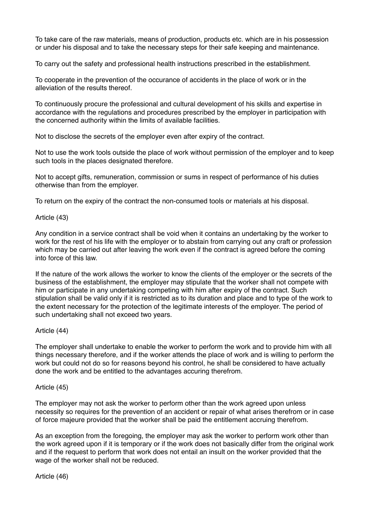To take care of the raw materials, means of production, products etc. which are in his possession or under his disposal and to take the necessary steps for their safe keeping and maintenance.

To carry out the safety and professional health instructions prescribed in the establishment.

To cooperate in the prevention of the occurance of accidents in the place of work or in the alleviation of the results thereof.

To continuously procure the professional and cultural development of his skills and expertise in accordance with the regulations and procedures prescribed by the employer in participation with the concerned authority within the limits of available facilities.

Not to disclose the secrets of the employer even after expiry of the contract.

Not to use the work tools outside the place of work without permission of the employer and to keep such tools in the places designated therefore.

Not to accept gifts, remuneration, commission or sums in respect of performance of his duties otherwise than from the employer.

To return on the expiry of the contract the non-consumed tools or materials at his disposal.

Article (43)

Any condition in a service contract shall be void when it contains an undertaking by the worker to work for the rest of his life with the employer or to abstain from carrying out any craft or profession which may be carried out after leaving the work even if the contract is agreed before the coming into force of this law.

If the nature of the work allows the worker to know the clients of the employer or the secrets of the business of the establishment, the employer may stipulate that the worker shall not compete with him or participate in any undertaking competing with him after expiry of the contract. Such stipulation shall be valid only if it is restricted as to its duration and place and to type of the work to the extent necessary for the protection of the legitimate interests of the employer. The period of such undertaking shall not exceed two years.

Article (44)

The employer shall undertake to enable the worker to perform the work and to provide him with all things necessary therefore, and if the worker attends the place of work and is willing to perform the work but could not do so for reasons beyond his control, he shall be considered to have actually done the work and be entitled to the advantages accuring therefrom.

Article (45)

The employer may not ask the worker to perform other than the work agreed upon unless necessity so requires for the prevention of an accident or repair of what arises therefrom or in case of force majeure provided that the worker shall be paid the entitlement accruing therefrom.

As an exception from the foregoing, the employer may ask the worker to perform work other than the work agreed upon if it is temporary or if the work does not basically differ from the original work and if the request to perform that work does not entail an insult on the worker provided that the wage of the worker shall not be reduced.

Article (46)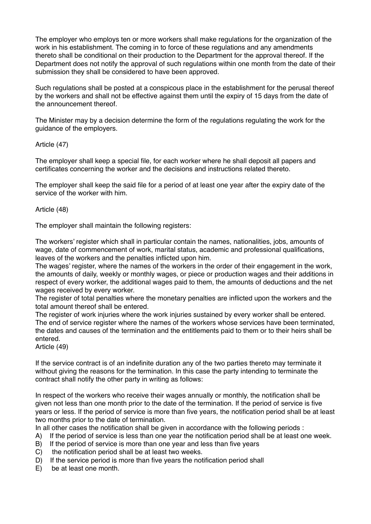The employer who employs ten or more workers shall make regulations for the organization of the work in his establishment. The coming in to force of these regulations and any amendments thereto shall be conditional on their production to the Department for the approval thereof. If the Department does not notify the approval of such regulations within one month from the date of their submission they shall be considered to have been approved.

Such regulations shall be posted at a conspicous place in the establishment for the perusal thereof by the workers and shall not be effective against them until the expiry of 15 days from the date of the announcement thereof.

The Minister may by a decision determine the form of the regulations regulating the work for the guidance of the employers.

### Article (47)

The employer shall keep a special file, for each worker where he shall deposit all papers and certificates concerning the worker and the decisions and instructions related thereto.

The employer shall keep the said file for a period of at least one year after the expiry date of the service of the worker with him.

### Article (48)

The employer shall maintain the following registers:

The workers' register which shall in particular contain the names, nationalities, jobs, amounts of wage, date of commencement of work, marital status, academic and professional qualifications, leaves of the workers and the penalties inflicted upon him.

The wages' register, where the names of the workers in the order of their engagement in the work, the amounts of daily, weekly or monthly wages, or piece or production wages and their additions in respect of every worker, the additional wages paid to them, the amounts of deductions and the net wages received by every worker.

The register of total penalties where the monetary penalties are inflicted upon the workers and the total amount thereof shall be entered.

The register of work injuries where the work injuries sustained by every worker shall be entered. The end of service register where the names of the workers whose services have been terminated, the dates and causes of the termination and the entitlements paid to them or to their heirs shall be entered.

Article (49)

If the service contract is of an indefinite duration any of the two parties thereto may terminate it without giving the reasons for the termination. In this case the party intending to terminate the contract shall notify the other party in writing as follows:

In respect of the workers who receive their wages annually or monthly, the notification shall be given not less than one month prior to the date of the termination. If the period of service is five years or less. If the period of service is more than five years, the notification period shall be at least two months prior to the date of termination.

In all other cases the notification shall be given in accordance with the following periods :

- A) If the period of service is less than one year the notification period shall be at least one week.
- B) If the period of service is more than one year and less than five years
- C) the notification period shall be at least two weeks.
- D) If the service period is more than five years the notification period shall
- E) be at least one month.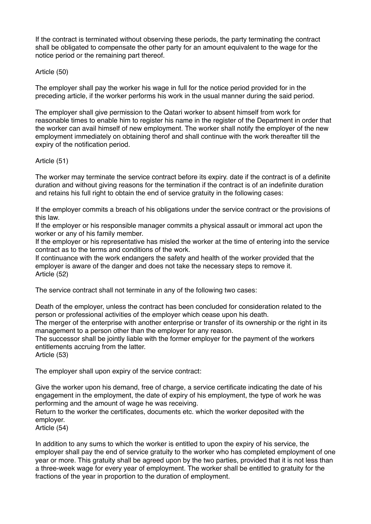If the contract is terminated without observing these periods, the party terminating the contract shall be obligated to compensate the other party for an amount equivalent to the wage for the notice period or the remaining part thereof.

# Article (50)

The employer shall pay the worker his wage in full for the notice period provided for in the preceding article, if the worker performs his work in the usual manner during the said period.

The employer shall give permission to the Qatari worker to absent himself from work for reasonable times to enable him to register his name in the register of the Department in order that the worker can avail himself of new employment. The worker shall notify the employer of the new employment immediately on obtaining therof and shall continue with the work thereafter till the expiry of the notification period.

# Article (51)

The worker may terminate the service contract before its expiry. date if the contract is of a definite duration and without giving reasons for the termination if the contract is of an indefinite duration and retains his full right to obtain the end of service gratuity in the following cases:

If the employer commits a breach of his obligations under the service contract or the provisions of this law.

If the employer or his responsible manager commits a physical assault or immoral act upon the worker or any of his family member.

If the employer or his representative has misled the worker at the time of entering into the service contract as to the terms and conditions of the work.

If continuance with the work endangers the safety and health of the worker provided that the employer is aware of the danger and does not take the necessary steps to remove it. Article (52)

The service contract shall not terminate in any of the following two cases:

Death of the employer, unless the contract has been concluded for consideration related to the person or professional activities of the employer which cease upon his death.

The merger of the enterprise with another enterprise or transfer of its ownership or the right in its management to a person other than the employer for any reason.

The successor shall be jointly liable with the former employer for the payment of the workers entitlements accruing from the latter.

Article (53)

The employer shall upon expiry of the service contract:

Give the worker upon his demand, free of charge, a service certificate indicating the date of his engagement in the employment, the date of expiry of his employment, the type of work he was performing and the amount of wage he was receiving.

Return to the worker the certificates, documents etc. which the worker deposited with the employer.

Article (54)

In addition to any sums to which the worker is entitled to upon the expiry of his service, the employer shall pay the end of service gratuity to the worker who has completed employment of one year or more. This gratuity shall be agreed upon by the two parties, provided that it is not less than a three-week wage for every year of employment. The worker shall be entitled to gratuity for the fractions of the year in proportion to the duration of employment.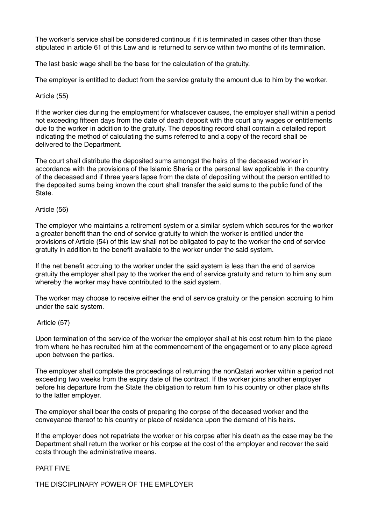The worker's service shall be considered continous if it is terminated in cases other than those stipulated in article 61 of this Law and is returned to service within two months of its termination.

The last basic wage shall be the base for the calculation of the gratuity.

The employer is entitled to deduct from the service gratuity the amount due to him by the worker.

### Article (55)

If the worker dies during the employment for whatsoever causes, the employer shall within a period not exceeding fifteen days from the date of death deposit with the court any wages or entitlements due to the worker in addition to the gratuity. The depositing record shall contain a detailed report indicating the method of calculating the sums referred to and a copy of the record shall be delivered to the Department.

The court shall distribute the deposited sums amongst the heirs of the deceased worker in accordance with the provisions of the Islamic Sharia or the personal law applicable in the country of the deceased and if three years lapse from the date of depositing without the person entitled to the deposited sums being known the court shall transfer the said sums to the public fund of the **State** 

### Article (56)

The employer who maintains a retirement system or a similar system which secures for the worker a greater benefit than the end of service gratuity to which the worker is entitled under the provisions of Article (54) of this law shall not be obligated to pay to the worker the end of service gratuity in addition to the benefit available to the worker under the said system.

If the net benefit accruing to the worker under the said system is less than the end of service gratuity the employer shall pay to the worker the end of service gratuity and return to him any sum whereby the worker may have contributed to the said system.

The worker may choose to receive either the end of service gratuity or the pension accruing to him under the said system.

#### Article (57)

Upon termination of the service of the worker the employer shall at his cost return him to the place from where he has recruited him at the commencement of the engagement or to any place agreed upon between the parties.

The employer shall complete the proceedings of returning the nonQatari worker within a period not exceeding two weeks from the expiry date of the contract. If the worker joins another employer before his departure from the State the obligation to return him to his country or other place shifts to the latter employer.

The employer shall bear the costs of preparing the corpse of the deceased worker and the conveyance thereof to his country or place of residence upon the demand of his heirs.

If the employer does not repatriate the worker or his corpse after his death as the case may be the Department shall return the worker or his corpse at the cost of the employer and recover the said costs through the administrative means.

#### PART FIVE

THE DISCIPLINARY POWER OF THE EMPLOYER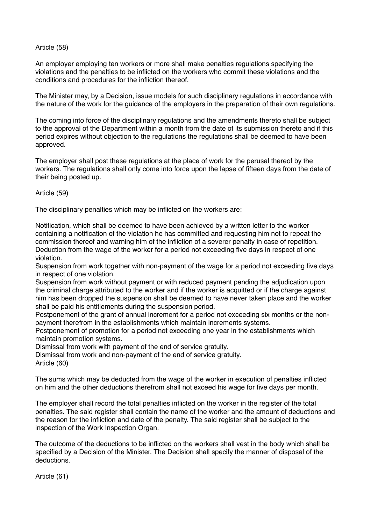### Article (58)

An employer employing ten workers or more shall make penalties regulations specifying the violations and the penalties to be inflicted on the workers who commit these violations and the conditions and procedures for the infliction thereof.

The Minister may, by a Decision, issue models for such disciplinary regulations in accordance with the nature of the work for the guidance of the employers in the preparation of their own regulations.

The coming into force of the disciplinary regulations and the amendments thereto shall be subject to the approval of the Department within a month from the date of its submission thereto and if this period expires without objection to the regulations the regulations shall be deemed to have been approved.

The employer shall post these regulations at the place of work for the perusal thereof by the workers. The regulations shall only come into force upon the lapse of fifteen days from the date of their being posted up.

Article (59)

The disciplinary penalties which may be inflicted on the workers are:

Notification, which shall be deemed to have been achieved by a written letter to the worker containing a notification of the violation he has committed and requesting him not to repeat the commission thereof and warning him of the infliction of a severer penalty in case of repetition. Deduction from the wage of the worker for a period not exceeding five days in respect of one violation.

Suspension from work together with non-payment of the wage for a period not exceeding five days in respect of one violation.

Suspension from work without payment or with reduced payment pending the adjudication upon the criminal charge attributed to the worker and if the worker is acquitted or if the charge against him has been dropped the suspension shall be deemed to have never taken place and the worker shall be paid his entitlements during the suspension period.

Postponement of the grant of annual increment for a period not exceeding six months or the nonpayment therefrom in the establishments which maintain increments systems.

Postponement of promotion for a period not exceeding one year in the establishments which maintain promotion systems.

Dismissal from work with payment of the end of service gratuity.

Dismissal from work and non-payment of the end of service gratuity.

Article (60)

The sums which may be deducted from the wage of the worker in execution of penalties inflicted on him and the other deductions therefrom shall not exceed his wage for five days per month.

The employer shall record the total penalties inflicted on the worker in the register of the total penalties. The said register shall contain the name of the worker and the amount of deductions and the reason for the infliction and date of the penalty. The said register shall be subject to the inspection of the Work Inspection Organ.

The outcome of the deductions to be inflicted on the workers shall vest in the body which shall be specified by a Decision of the Minister. The Decision shall specify the manner of disposal of the deductions.

Article (61)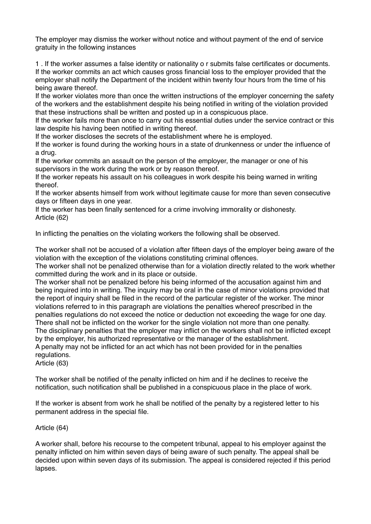The employer may dismiss the worker without notice and without payment of the end of service gratuity in the following instances

1 . If the worker assumes a false identity or nationality o r submits false certificates or documents. If the worker commits an act which causes gross financial loss to the employer provided that the employer shall notify the Department of the incident within twenty four hours from the time of his being aware thereof.

If the worker violates more than once the written instructions of the employer concerning the safety of the workers and the establishment despite his being notified in writing of the violation provided that these instructions shall be written and posted up in a conspicuous place.

If the worker fails more than once to carry out his essential duties under the service contract or this law despite his having been notified in writing thereof.

If the worker discloses the secrets of the establishment where he is employed.

If the worker is found during the working hours in a state of drunkenness or under the influence of a drug.

If the worker commits an assault on the person of the employer, the manager or one of his supervisors in the work during the work or by reason thereof.

If the worker repeats his assault on his colleagues in work despite his being warned in writing thereof.

If the worker absents himself from work without legitimate cause for more than seven consecutive days or fifteen days in one year.

If the worker has been finally sentenced for a crime involving immorality or dishonesty. Article (62)

In inflicting the penalties on the violating workers the following shall be observed.

The worker shall not be accused of a violation after fifteen days of the employer being aware of the violation with the exception of the violations constituting criminal offences.

The worker shall not be penalized otherwise than for a violation directly related to the work whether committed during the work and in its place or outside.

The worker shall not be penalized before his being informed of the accusation against him and being inquired into in writing. The inquiry may be oral in the case of minor violations provided that the report of inquiry shall be filed in the record of the particular register of the worker. The minor violations referred to in this paragraph are violations the penalties whereof prescribed in the penalties regulations do not exceed the notice or deduction not exceeding the wage for one day. There shall not be inflicted on the worker for the single violation not more than one penalty. The disciplinary penalties that the employer may inflict on the workers shall not be inflicted except by the employer, his authorized representative or the manager of the establishment. A penalty may not be inflicted for an act which has not been provided for in the penalties regulations.

Article (63)

The worker shall be notified of the penalty inflicted on him and if he declines to receive the notification, such notification shall be published in a conspicuous place in the place of work.

If the worker is absent from work he shall be notified of the penalty by a registered letter to his permanent address in the special file.

Article (64)

A worker shall, before his recourse to the competent tribunal, appeal to his employer against the penalty inflicted on him within seven days of being aware of such penalty. The appeal shall be decided upon within seven days of its submission. The appeal is considered rejected if this period lapses.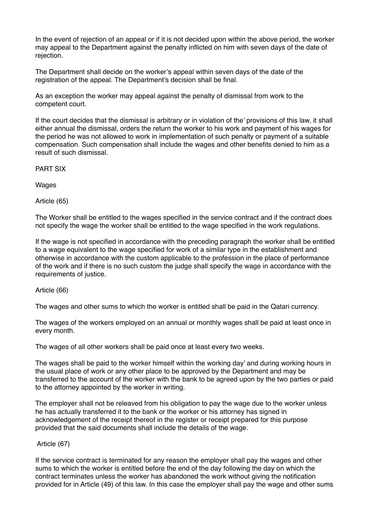In the event of rejection of an appeal or if it is not decided upon within the above period, the worker may appeal to the Department against the penalty inflicted on him with seven days of the date of rejection.

The Department shall decide on the worker's appeal within seven days of the date of the registration of the appeal. The Department's decision shall be final.

As an exception the worker may appeal against the penalty of dismissal from work to the competent court.

If the court decides that the dismissal is arbitrary or in violation of the' provisions of this law, it shall either annual the dismissal, orders the return the worker to his work and payment of his wages for the period he was not allowed to work in implementation of such penalty or payment of a suitable compensation. Such compensation shall include the wages and other benefits denied to him as a result of such dismissal.

PART SIX

Wages

Article (65)

The Worker shall be entitled to the wages specified in the service contract and if the contract does not specify the wage the worker shall be entitled to the wage specified in the work regulations.

If the wage is not specified in accordance with the preceding paragraph the worker shall be entitled to a wage equivalent to the wage specified for work of a similar type in the establishment and otherwise in accordance with the custom applicable to the profession in the place of performance of the work and if there is no such custom the judge shall specify the wage in accordance with the requirements of justice.

Article (66)

The wages and other sums to which the worker is entitled shall be paid in the Qatari currency.

The wages of the workers employed on an annual or monthly wages shall be paid at least once in every month.

The wages of all other workers shall be paid once at least every two weeks.

The wages shall be paid to the worker himself within the working day' and during working hours in the usual place of work or any other place to be approved by the Department and may be transferred to the account of the worker with the bank to be agreed upon by the two parties or paid to the attorney appointed by the worker in writing.

The employer shall not be releaved from his obligation to pay the wage due to the worker unless he has actually transferred it to the bank or the worker or his attorney has signed in acknowledgement of the receipt thereof in the register or receipt prepared for this purpose provided that the said documents shall include the details of the wage.

# Article (67)

If the service contract is terminated for any reason the employer shall pay the wages and other sums to which the worker is entitled before the end of the day following the day on which the contract terminates unless the worker has abandoned the work without giving the notification provided for in Article (49) of this law. In this case the employer shall pay the wage and other sums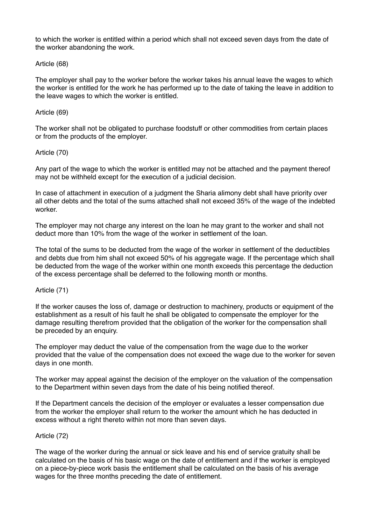to which the worker is entitled within a period which shall not exceed seven days from the date of the worker abandoning the work.

# Article (68)

The employer shall pay to the worker before the worker takes his annual leave the wages to which the worker is entitled for the work he has performed up to the date of taking the leave in addition to the leave wages to which the worker is entitled.

#### Article (69)

The worker shall not be obligated to purchase foodstuff or other commodities from certain places or from the products of the employer.

### Article (70)

Any part of the wage to which the worker is entitled may not be attached and the payment thereof may not be withheld except for the execution of a judicial decision.

In case of attachment in execution of a judgment the Sharia alimony debt shall have priority over all other debts and the total of the sums attached shall not exceed 35% of the wage of the indebted worker.

The employer may not charge any interest on the loan he may grant to the worker and shall not deduct more than 10% from the wage of the worker in settlement of the loan.

The total of the sums to be deducted from the wage of the worker in settlement of the deductibles and debts due from him shall not exceed 50% of his aggregate wage. If the percentage which shall be deducted from the wage of the worker within one month exceeds this percentage the deduction of the excess percentage shall be deferred to the following month or months.

#### Article (71)

If the worker causes the loss of, damage or destruction to machinery, products or equipment of the establishment as a result of his fault he shall be obligated to compensate the employer for the damage resulting therefrom provided that the obligation of the worker for the compensation shall be preceded by an enquiry.

The employer may deduct the value of the compensation from the wage due to the worker provided that the value of the compensation does not exceed the wage due to the worker for seven days in one month.

The worker may appeal against the decision of the employer on the valuation of the compensation to the Department within seven days from the date of his being notified thereof.

If the Department cancels the decision of the employer or evaluates a lesser compensation due from the worker the employer shall return to the worker the amount which he has deducted in excess without a right thereto within not more than seven days.

#### Article (72)

The wage of the worker during the annual or sick leave and his end of service gratuity shall be calculated on the basis of his basic wage on the date of entitlement and if the worker is employed on a piece-by-piece work basis the entitlement shall be calculated on the basis of his average wages for the three months preceding the date of entitlement.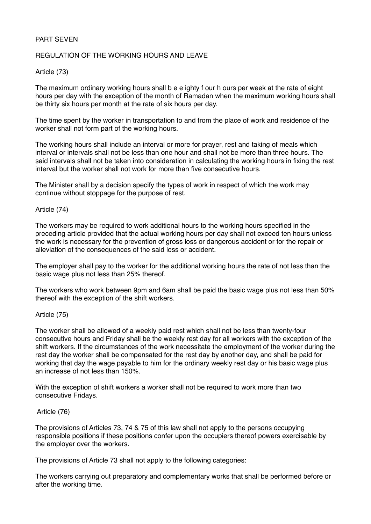# PART SEVEN

# REGULATION OF THE WORKING HOURS AND LEAVE

# Article (73)

The maximum ordinary working hours shall b e e ighty f our h ours per week at the rate of eight hours per day with the exception of the month of Ramadan when the maximum working hours shall be thirty six hours per month at the rate of six hours per day.

The time spent by the worker in transportation to and from the place of work and residence of the worker shall not form part of the working hours.

The working hours shall include an interval or more for prayer, rest and taking of meals which interval or intervals shall not be less than one hour and shall not be more than three hours. The said intervals shall not be taken into consideration in calculating the working hours in fixing the rest interval but the worker shall not work for more than five consecutive hours.

The Minister shall by a decision specify the types of work in respect of which the work may continue without stoppage for the purpose of rest.

### Article (74)

The workers may be required to work additional hours to the working hours specified in the preceding article provided that the actual working hours per day shall not exceed ten hours unless the work is necessary for the prevention of gross loss or dangerous accident or for the repair or alleviation of the consequences of the said loss or accident.

The employer shall pay to the worker for the additional working hours the rate of not less than the basic wage plus not less than 25% thereof.

The workers who work between 9pm and 6am shall be paid the basic wage plus not less than 50% thereof with the exception of the shift workers.

# Article (75)

The worker shall be allowed of a weekly paid rest which shall not be less than twenty-four consecutive hours and Friday shall be the weekly rest day for all workers with the exception of the shift workers. If the circumstances of the work necessitate the employment of the worker during the rest day the worker shall be compensated for the rest day by another day, and shall be paid for working that day the wage payable to him for the ordinary weekly rest day or his basic wage plus an increase of not less than 150%.

With the exception of shift workers a worker shall not be required to work more than two consecutive Fridays.

#### Article (76)

The provisions of Articles 73, 74 & 75 of this law shall not apply to the persons occupying responsible positions if these positions confer upon the occupiers thereof powers exercisable by the employer over the workers.

The provisions of Article 73 shall not apply to the following categories:

The workers carrying out preparatory and complementary works that shall be performed before or after the working time.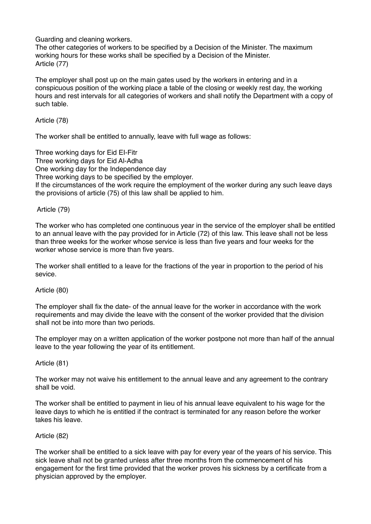Guarding and cleaning workers.

The other categories of workers to be specified by a Decision of the Minister. The maximum working hours for these works shall be specified by a Decision of the Minister. Article (77)

The employer shall post up on the main gates used by the workers in entering and in a conspicuous position of the working place a table of the closing or weekly rest day, the working hours and rest intervals for all categories of workers and shall notify the Department with a copy of such table.

Article (78)

The worker shall be entitled to annually, leave with full wage as follows:

Three working days for Eid EI-Fitr Three working days for Eid Al-Adha One working day for the Independence day Three working days to be specified by the employer. If the circumstances of the work require the employment of the worker during any such leave days the provisions of article (75) of this law shall be applied to him.

# Article (79)

The worker who has completed one continuous year in the service of the employer shall be entitled to an annual leave with the pay provided for in Article (72) of this law. This leave shall not be less than three weeks for the worker whose service is less than five years and four weeks for the worker whose service is more than five years.

The worker shall entitled to a leave for the fractions of the year in proportion to the period of his sevice.

# Article (80)

The employer shall fix the date- of the annual leave for the worker in accordance with the work requirements and may divide the leave with the consent of the worker provided that the division shall not be into more than two periods.

The employer may on a written application of the worker postpone not more than half of the annual leave to the year following the year of its entitlement.

# Article (81)

The worker may not waive his entitlement to the annual leave and any agreement to the contrary shall be void.

The worker shall be entitled to payment in lieu of his annual leave equivalent to his wage for the leave days to which he is entitled if the contract is terminated for any reason before the worker takes his leave.

# Article (82)

The worker shall be entitled to a sick leave with pay for every year of the years of his service. This sick leave shall not be granted unless after three months from the commencement of his engagement for the first time provided that the worker proves his sickness by a certificate from a physician approved by the employer.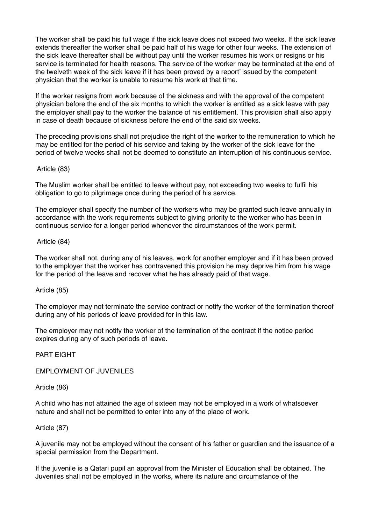The worker shall be paid his full wage if the sick leave does not exceed two weeks. If the sick leave extends thereafter the worker shall be paid half of his wage for other four weeks. The extension of the sick leave thereafter shall be without pay until the worker resumes his work or resigns or his service is terminated for health reasons. The service of the worker may be terminated at the end of the twelveth week of the sick leave if it has been proved by a report' issued by the competent physician that the worker is unable to resume his work at that time.

If the worker resigns from work because of the sickness and with the approval of the competent physician before the end of the six months to which the worker is entitled as a sick leave with pay the employer shall pay to the worker the balance of his entitlement. This provision shall also apply in case of death because of sickness before the end of the said six weeks.

The preceding provisions shall not prejudice the right of the worker to the remuneration to which he may be entitled for the period of his service and taking by the worker of the sick leave for the period of twelve weeks shall not be deemed to constitute an interruption of his continuous service.

Article (83)

The Muslim worker shall be entitled to leave without pay, not exceeding two weeks to fulfil his obligation to go to pilgrimage once during the period of his service.

The employer shall specify the number of the workers who may be granted such leave annually in accordance with the work requirements subject to giving priority to the worker who has been in continuous service for a longer period whenever the circumstances of the work permit.

Article (84)

The worker shall not, during any of his leaves, work for another employer and if it has been proved to the employer that the worker has contravened this provision he may deprive him from his wage for the period of the leave and recover what he has already paid of that wage.

Article (85)

The employer may not terminate the service contract or notify the worker of the termination thereof during any of his periods of leave provided for in this law.

The employer may not notify the worker of the termination of the contract if the notice period expires during any of such periods of leave.

PART EIGHT

EMPLOYMENT OF JUVENILES

Article (86)

A child who has not attained the age of sixteen may not be employed in a work of whatsoever nature and shall not be permitted to enter into any of the place of work.

Article (87)

A juvenile may not be employed without the consent of his father or guardian and the issuance of a special permission from the Department.

If the juvenile is a Qatari pupil an approval from the Minister of Education shall be obtained. The Juveniles shall not be employed in the works, where its nature and circumstance of the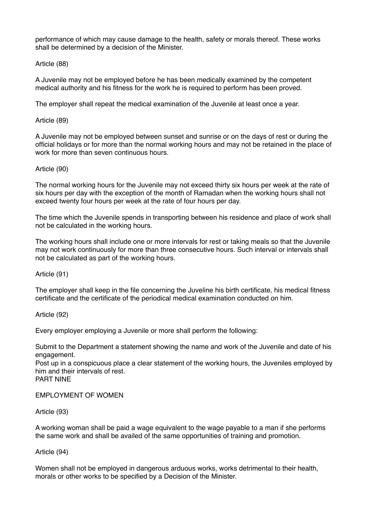performance of which may cause damage to the health, safety or morals thereof. These works shall be determined by a decision of the Minister.

# Article (88)

A Juvenile may not be employed before he has been medically examined by the competent medical authority and his fitness for the work he is required to perform has been proved.

The employer shall repeat the medical examination of the Juvenile at least once a year.

### Article (89)

A Juvenile may not be employed between sunset and sunrise or on the days of rest or during the official holidays or for more than the normal working hours and may not be retained in the place of work for more than seven continuous hours.

### Article (90)

The normal working hours for the Juvenile may not exceed thirty six hours per week at the rate of six hours per day with the exception of the month of Ramadan when the working hours shall not exceed twenty four hours per week at the rate of four hours per day.

The time which the Juvenile spends in transporting between his residence and place of work shall not be calculated in the working hours.

The working hours shall include one or more intervals for rest or taking meals so that the Juvenile may not work continuously for more than three consecutive hours. Such interval or intervals shall not be calculated as part of the working hours.

#### Article (91)

The employer shall keep in the file concerning the Juveline his birth certificate, his medical fitness certificate and the certificate of the periodical medical examination conducted on him.

Article (92)

Every employer employing a Juvenile or more shall perform the following:

Submit to the Department a statement showing the name and work of the Juvenile and date of his engagement.

Post up in a conspicuous place a clear statement of the working hours, the Juveniles employed by him and their intervals of rest. PART NINE

EMPLOYMENT OF WOMEN

# Article (93)

A working woman shall be paid a wage equivalent to the wage payable to a man if she performs the same work and shall be availed of the same opportunities of training and promotion.

# Article (94)

Women shall not be employed in dangerous arduous works, works detrimental to their health, morals or other works to be specified by a Decision of the Minister.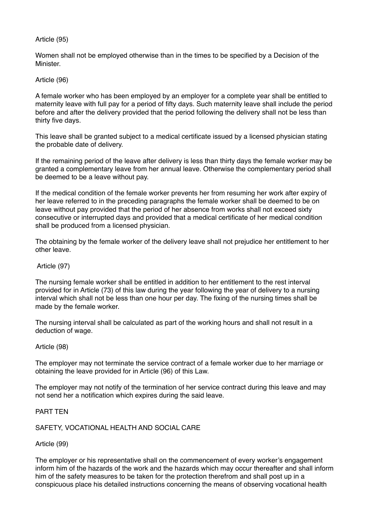# Article (95)

Women shall not be employed otherwise than in the times to be specified by a Decision of the Minister.

Article (96)

A female worker who has been employed by an employer for a complete year shall be entitled to maternity leave with full pay for a period of fifty days. Such maternity leave shall include the period before and after the delivery provided that the period following the delivery shall not be less than thirty five days.

This leave shall be granted subject to a medical certificate issued by a licensed physician stating the probable date of delivery.

If the remaining period of the leave after delivery is less than thirty days the female worker may be granted a complementary leave from her annual leave. Otherwise the complementary period shall be deemed to be a leave without pay.

If the medical condition of the female worker prevents her from resuming her work after expiry of her leave referred to in the preceding paragraphs the female worker shall be deemed to be on leave without pay provided that the period of her absence from works shall not exceed sixty consecutive or interrupted days and provided that a medical certificate of her medical condition shall be produced from a licensed physician.

The obtaining by the female worker of the delivery leave shall not prejudice her entitlement to her other leave.

#### Article (97)

The nursing female worker shall be entitled in addition to her entitlement to the rest interval provided for in Article (73) of this law during the year following the year of delivery to a nursing interval which shall not be less than one hour per day. The fixing of the nursing times shall be made by the female worker.

The nursing interval shall be calculated as part of the working hours and shall not result in a deduction of wage.

Article (98)

The employer may not terminate the service contract of a female worker due to her marriage or obtaining the leave provided for in Article (96) of this Law.

The employer may not notify of the termination of her service contract during this leave and may not send her a notification which expires during the said leave.

#### PART TEN

# SAFETY, VOCATIONAL HEALTH AND SOCIAL CARE

Article (99)

The employer or his representative shall on the commencement of every worker's engagement inform him of the hazards of the work and the hazards which may occur thereafter and shall inform him of the safety measures to be taken for the protection therefrom and shall post up in a conspicuous place his detailed instructions concerning the means of observing vocational health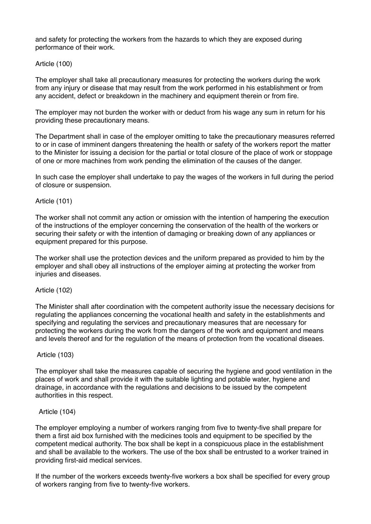and safety for protecting the workers from the hazards to which they are exposed during performance of their work.

### Article (100)

The employer shall take all precautionary measures for protecting the workers during the work from any injury or disease that may result from the work performed in his establishment or from any accident, defect or breakdown in the machinery and equipment therein or from fire.

The employer may not burden the worker with or deduct from his wage any sum in return for his providing these precautionary means.

The Department shall in case of the employer omitting to take the precautionary measures referred to or in case of imminent dangers threatening the health or safety of the workers report the matter to the Minister for issuing a decision for the partial or total closure of the place of work or stoppage of one or more machines from work pending the elimination of the causes of the danger.

In such case the employer shall undertake to pay the wages of the workers in full during the period of closure or suspension.

#### Article (101)

The worker shall not commit any action or omission with the intention of hampering the execution of the instructions of the employer concerning the conservation of the health of the workers or securing their safety or with the intention of damaging or breaking down of any appliances or equipment prepared for this purpose.

The worker shall use the protection devices and the uniform prepared as provided to him by the employer and shall obey all instructions of the employer aiming at protecting the worker from injuries and diseases.

#### Article (102)

The Minister shall after coordination with the competent authority issue the necessary decisions for regulating the appliances concerning the vocational health and safety in the establishments and specifying and regulating the services and precautionary measures that are necessary for protecting the workers during the work from the dangers of the work and equipment and means and levels thereof and for the regulation of the means of protection from the vocational diseaes.

#### Article (103)

The employer shall take the measures capable of securing the hygiene and good ventilation in the places of work and shall provide it with the suitable lighting and potable water, hygiene and drainage, in accordance with the regulations and decisions to be issued by the competent authorities in this respect.

#### Article (104)

The employer employing a number of workers ranging from five to twenty-five shall prepare for them a first aid box furnished with the medicines tools and equipment to be specified by the competent medical authority. The box shall be kept in a conspicuous place in the establishment and shall be available to the workers. The use of the box shall be entrusted to a worker trained in providing first-aid medical services.

If the number of the workers exceeds twenty-five workers a box shall be specified for every group of workers ranging from five to twenty-five workers.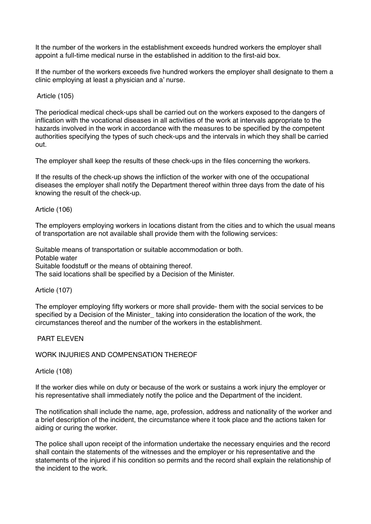It the number of the workers in the establishment exceeds hundred workers the employer shall appoint a full-time medical nurse in the established in addition to the first-aid box.

If the number of the workers exceeds five hundred workers the employer shall designate to them a clinic employing at least a physician and a' nurse.

Article (105)

The periodical medical check-ups shall be carried out on the workers exposed to the dangers of inflication with the vocational diseases in all activities of the work at intervals appropriate to the hazards involved in the work in accordance with the measures to be specified by the competent authorities specifying the types of such check-ups and the intervals in which they shall be carried out.

The employer shall keep the results of these check-ups in the files concerning the workers.

If the results of the check-up shows the infliction of the worker with one of the occupational diseases the employer shall notify the Department thereof within three days from the date of his knowing the result of the check-up.

### Article (106)

The employers employing workers in locations distant from the cities and to which the usual means of transportation are not available shall provide them with the following services:

Suitable means of transportation or suitable accommodation or both. Potable water Suitable foodstuff or the means of obtaining thereof. The said locations shall be specified by a Decision of the Minister.

#### Article (107)

The employer employing fifty workers or more shall provide- them with the social services to be specified by a Decision of the Minister taking into consideration the location of the work, the circumstances thereof and the number of the workers in the establishment.

#### PART ELEVEN

#### WORK INJURIES AND COMPENSATION THEREOF

Article (108)

If the worker dies while on duty or because of the work or sustains a work injury the employer or his representative shall immediately notify the police and the Department of the incident.

The notification shall include the name, age, profession, address and nationality of the worker and a brief description of the incident, the circumstance where it took place and the actions taken for aiding or curing the worker.

The police shall upon receipt of the information undertake the necessary enquiries and the record shall contain the statements of the witnesses and the employer or his representative and the statements of the injured if his condition so permits and the record shall explain the relationship of the incident to the work.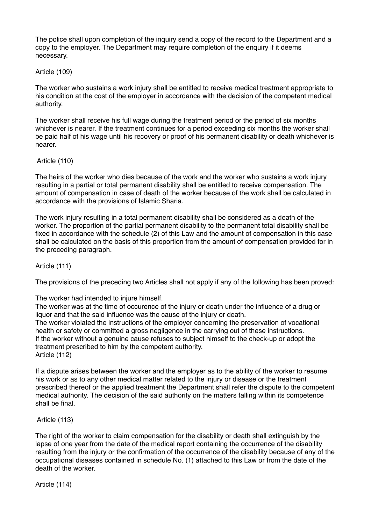The police shall upon completion of the inquiry send a copy of the record to the Department and a copy to the employer. The Department may require completion of the enquiry if it deems necessary.

# Article (109)

The worker who sustains a work injury shall be entitled to receive medical treatment appropriate to his condition at the cost of the employer in accordance with the decision of the competent medical authority.

The worker shall receive his full wage during the treatment period or the period of six months whichever is nearer. If the treatment continues for a period exceeding six months the worker shall be paid half of his wage until his recovery or proof of his permanent disability or death whichever is nearer.

# Article (110)

The heirs of the worker who dies because of the work and the worker who sustains a work injury resulting in a partial or total permanent disability shall be entitled to receive compensation. The amount of compensation in case of death of the worker because of the work shall be calculated in accordance with the provisions of Islamic Sharia.

The work injury resulting in a total permanent disability shall be considered as a death of the worker. The proportion of the partial permanent disability to the permanent total disability shall be fixed in accordance with the schedule (2) of this Law and the amount of compensation in this case shall be calculated on the basis of this proportion from the amount of compensation provided for in the preceding paragraph.

# Article (111)

The provisions of the preceding two Articles shall not apply if any of the following has been proved:

The worker had intended to injure himself.

The worker was at the time of occurence of the injury or death under the influence of a drug or liquor and that the said influence was the cause of the injury or death. The worker violated the instructions of the employer concerning the preservation of vocational health or safety or committed a gross negligence in the carrying out of these instructions. If the worker without a genuine cause refuses to subject himself to the check-up or adopt the treatment prescribed to him by the competent authority. Article (112)

If a dispute arises between the worker and the employer as to the ability of the worker to resume his work or as to any other medical matter related to the injury or disease or the treatment prescribed thereof or the applied treatment the Department shall refer the dispute to the competent medical authority. The decision of the said authority on the matters falling within its competence shall be final.

# Article (113)

The right of the worker to claim compensation for the disability or death shall extinguish by the lapse of one year from the date of the medical report containing the occurrence of the disability resulting from the injury or the confirmation of the occurrence of the disability because of any of the occupational diseases contained in schedule No. (1) attached to this Law or from the date of the death of the worker.

Article (114)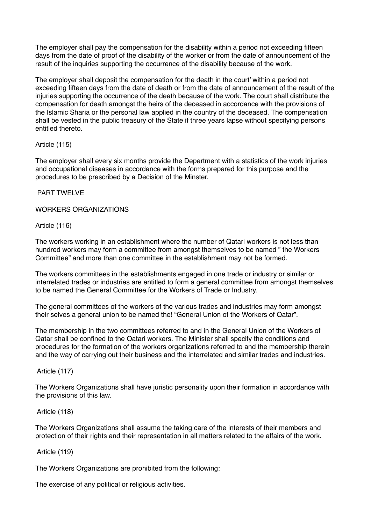The employer shall pay the compensation for the disability within a period not exceeding fifteen days from the date of proof of the disability of the worker or from the date of announcement of the result of the inquiries supporting the occurrence of the disability because of the work.

The employer shall deposit the compensation for the death in the court' within a period not exceeding fifteen days from the date of death or from the date of announcement of the result of the injuries supporting the occurrence of the death because of the work. The court shall distribute the compensation for death amongst the heirs of the deceased in accordance with the provisions of the Islamic Sharia or the personal law applied in the country of the deceased. The compensation shall be vested in the public treasury of the State if three years lapse without specifying persons entitled thereto.

# Article (115)

The employer shall every six months provide the Department with a statistics of the work injuries and occupational diseases in accordance with the forms prepared for this purpose and the procedures to be prescribed by a Decision of the Minster.

# PART TWELVE

### WORKERS ORGANIZATIONS

### Article (116)

The workers working in an establishment where the number of Qatari workers is not less than hundred workers may form a committee from amongst themselves to be named " the Workers Committee" and more than one committee in the establishment may not be formed.

The workers committees in the establishments engaged in one trade or industry or similar or interrelated trades or industries are entitled to form a general committee from amongst themselves to be named the General Committee for the Workers of Trade or Industry.

The general committees of the workers of the various trades and industries may form amongst their selves a general union to be named the! "General Union of the Workers of Qatar".

The membership in the two committees referred to and in the General Union of the Workers of Qatar shall be confined to the Qatari workers. The Minister shall specify the conditions and procedures for the formation of the workers organizations referred to and the membership therein and the way of carrying out their business and the interrelated and similar trades and industries.

#### Article (117)

The Workers Organizations shall have juristic personality upon their formation in accordance with the provisions of this law.

#### Article (118)

The Workers Organizations shall assume the taking care of the interests of their members and protection of their rights and their representation in all matters related to the affairs of the work.

#### Article (119)

The Workers Organizations are prohibited from the following:

The exercise of any political or religious activities.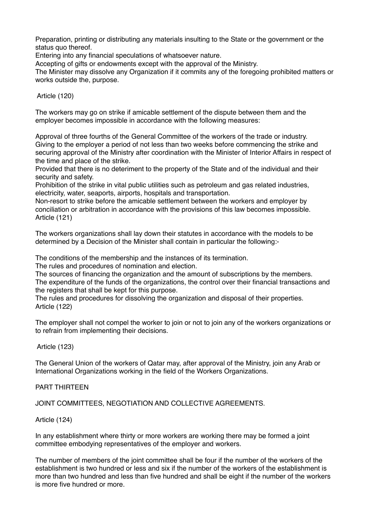Preparation, printing or distributing any materials insulting to the State or the government or the status quo thereof.

Entering into any financial speculations of whatsoever nature.

Accepting of gifts or endowments except with the approval of the Ministry.

The Minister may dissolve any Organization if it commits any of the foregoing prohibited matters or works outside the, purpose.

# Article (120)

The workers may go on strike if amicable settlement of the dispute between them and the employer becomes impossible in accordance with the following measures:

Approval of three fourths of the General Committee of the workers of the trade or industry. Giving to the employer a period of not less than two weeks before commencing the strike and securing approval of the Ministry after coordination with the Minister of Interior Affairs in respect of the time and place of the strike.

Provided that there is no deteriment to the property of the State and of the individual and their security and safety.

Prohibition of the strike in vital public utilities such as petroleum and gas related industries, electricity, water, seaports, airports, hospitals and transportation.

Non-resort to strike before the amicable settlement between the workers and employer by conciliation or arbitration in accordance with the provisions of this law becomes impossible. Article (121)

The workers organizations shall lay down their statutes in accordance with the models to be determined by a Decision of the Minister shall contain in particular the following:-

The conditions of the membership and the instances of its termination.

The rules and procedures of nomination and election.

The sources of financing the organization and the amount of subscriptions by the members. The expenditure of the funds of the organizations, the control over their financial transactions and the registers that shall be kept for this purpose.

The rules and procedures for dissolving the organization and disposal of their properties. Article (122)

The employer shall not compel the worker to join or not to join any of the workers organizations or to refrain from implementing their decisions.

Article (123)

The General Union of the workers of Qatar may, after approval of the Ministry, join any Arab or International Organizations working in the field of the Workers Organizations.

# PART THIRTEEN

JOINT COMMITTEES, NEGOTIATION AND COLLECTIVE AGREEMENTS.

# Article (124)

In any establishment where thirty or more workers are working there may be formed a joint committee embodying representatives of the employer and workers.

The number of members of the joint committee shall be four if the number of the workers of the establishment is two hundred or less and six if the number of the workers of the establishment is more than two hundred and less than five hundred and shall be eight if the number of the workers is more five hundred or more.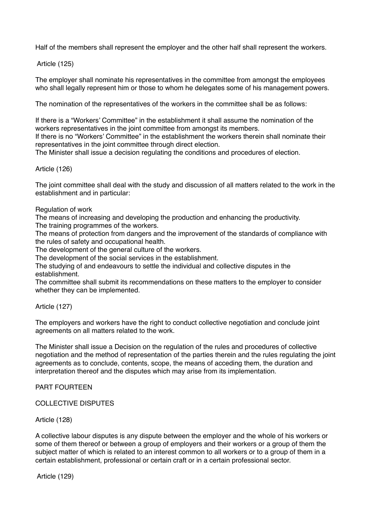Half of the members shall represent the employer and the other half shall represent the workers.

Article (125)

The employer shall nominate his representatives in the committee from amongst the employees who shall legally represent him or those to whom he delegates some of his management powers.

The nomination of the representatives of the workers in the committee shall be as follows:

If there is a "Workers' Committee" in the establishment it shall assume the nomination of the workers representatives in the joint committee from amongst its members.

If there is no "Workers' Committee" in the establishment the workers therein shall nominate their representatives in the joint committee through direct election.

The Minister shall issue a decision regulating the conditions and procedures of election.

Article (126)

The joint committee shall deal with the study and discussion of all matters related to the work in the establishment and in particular:

Regulation of work

The means of increasing and developing the production and enhancing the productivity.

The training programmes of the workers.

The means of protection from dangers and the improvement of the standards of compliance with the rules of safety and occupational health.

The development of the general culture of the workers.

The development of the social services in the establishment.

The studying of and endeavours to settle the individual and collective disputes in the establishment.

The committee shall submit its recommendations on these matters to the employer to consider whether they can be implemented.

Article (127)

The employers and workers have the right to conduct collective negotiation and conclude joint agreements on all matters related to the work.

The Minister shall issue a Decision on the regulation of the rules and procedures of collective negotiation and the method of representation of the parties therein and the rules regulating the joint agreements as to conclude, contents, scope, the means of acceding them, the duration and interpretation thereof and the disputes which may arise from its implementation.

PART FOURTEEN

COLLECTIVE DISPUTES

Article (128)

A collective labour disputes is any dispute between the employer and the whole of his workers or some of them thereof or between a group of employers and their workers or a group of them the subject matter of which is related to an interest common to all workers or to a group of them in a certain establishment, professional or certain craft or in a certain professional sector.

Article (129)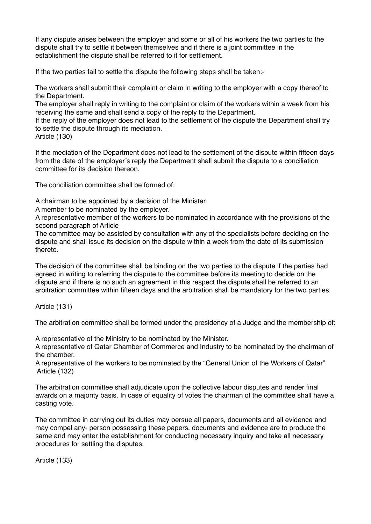If any dispute arises between the employer and some or all of his workers the two parties to the dispute shall try to settle it between themselves and if there is a joint committee in the establishment the dispute shall be referred to it for settlement.

If the two parties fail to settle the dispute the following steps shall be taken:-

The workers shall submit their complaint or claim in writing to the employer with a copy thereof to the Department.

The employer shall reply in writing to the complaint or claim of the workers within a week from his receiving the same and shall send a copy of the reply to the Department.

If the reply of the employer does not lead to the settlement of the dispute the Department shall try to settle the dispute through its mediation.

Article (130)

If the mediation of the Department does not lead to the settlement of the dispute within fifteen days from the date of the employer's reply the Department shall submit the dispute to a conciliation committee for its decision thereon.

The conciliation committee shall be formed of:

A chairman to be appointed by a decision of the Minister.

A member to be nominated by the employer.

A representative member of the workers to be nominated in accordance with the provisions of the second paragraph of Article

The committee may be assisted by consultation with any of the specialists before deciding on the dispute and shall issue its decision on the dispute within a week from the date of its submission thereto.

The decision of the committee shall be binding on the two parties to the dispute if the parties had agreed in writing to referring the dispute to the committee before its meeting to decide on the dispute and if there is no such an agreement in this respect the dispute shall be referred to an arbitration committee within fifteen days and the arbitration shall be mandatory for the two parties.

Article (131)

The arbitration committee shall be formed under the presidency of a Judge and the membership of:

A representative of the Ministry to be nominated by the Minister.

A representative of Qatar Chamber of Commerce and Industry to be nominated by the chairman of the chamber.

A representative of the workers to be nominated by the "General Union of the Workers of Qatar". Article (132)

The arbitration committee shall adjudicate upon the collective labour disputes and render final awards on a majority basis. In case of equality of votes the chairman of the committee shall have a casting vote.

The committee in carrying out its duties may persue all papers, documents and all evidence and may compel any- person possessing these papers, documents and evidence are to produce the same and may enter the establishment for conducting necessary inquiry and take all necessary procedures for settling the disputes.

Article (133)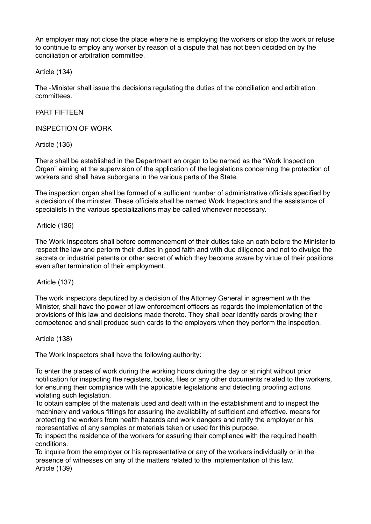An employer may not close the place where he is employing the workers or stop the work or refuse to continue to employ any worker by reason of a dispute that has not been decided on by the conciliation or arbitration committee.

Article (134)

The -Minister shall issue the decisions regulating the duties of the conciliation and arbitration committees.

PART FIFTEEN

INSPECTION OF WORK

Article (135)

There shall be established in the Department an organ to be named as the "Work Inspection Organ" aiming at the supervision of the application of the legislations concerning the protection of workers and shall have suborgans in the various parts of the State.

The inspection organ shall be formed of a sufficient number of administrative officials specified by a decision of the minister. These officials shall be named Work Inspectors and the assistance of specialists in the various specializations may be called whenever necessary.

Article (136)

The Work Inspectors shall before commencement of their duties take an oath before the Minister to respect the law and perform their duties in good faith and with due diligence and not to divulge the secrets or industrial patents or other secret of which they become aware by virtue of their positions even after termination of their employment.

Article (137)

The work inspectors deputized by a decision of the Attorney General in agreement with the Minister, shall have the power of law enforcement officers as regards the implementation of the provisions of this law and decisions made thereto. They shall bear identity cards proving their competence and shall produce such cards to the employers when they perform the inspection.

Article (138)

The Work Inspectors shall have the following authority:

To enter the places of work during the working hours during the day or at night without prior notification for inspecting the registers, books, files or any other documents related to the workers, for ensuring their compliance with the applicable legislations and detecting proofing actions violating such legislation.

To obtain samples of the materials used and dealt with in the establishment and to inspect the machinery and various fittings for assuring the availability of sufficient and effective. means for protecting the workers from health hazards and work dangers and notify the employer or his representative of any samples or materials taken or used for this purpose.

To inspect the residence of the workers for assuring their compliance with the required health conditions.

To inquire from the employer or his representative or any of the workers individually or in the presence of witnesses on any of the matters related to the implementation of this law. Article (139)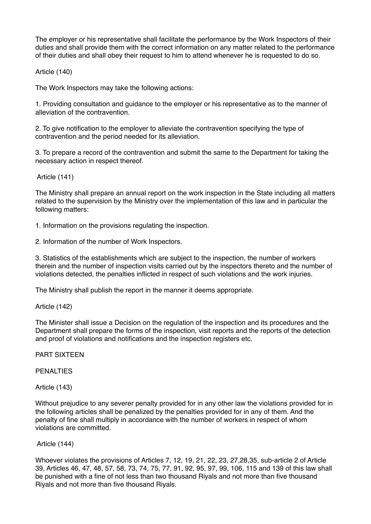The employer or his representative shall facilitate the performance by the Work Inspectors of their duties and shall provide them with the correct information on any matter related to the performance of their duties and shall obey their request to him to attend whenever he is requested to do so.

Article (140)

The Work Inspectors may take the following actions:

1. Providing consultation and guidance to the employer or his representative as to the manner of alleviation of the contravention.

2. To give notification to the employer to alleviate the contravention specifying the type of contravention and the period needed for its alleviation.

3. To prepare a record of the contravention and submit the same to the Department for taking the necessary action in respect thereof.

Article (141)

The Ministry shall prepare an annual report on the work inspection in the State including all matters related to the supervision by the Ministry over the implementation of this law and in particular the following matters:

1. Information on the provisions regulating the inspection.

2. Information of the number of Work Inspectors.

3. Statistics of the establishments which are subject to the inspection, the number of workers therein and the number of inspection visits carried out by the inspectors thereto and the number of violations detected, the penalties inflicted in respect of such violations and the work injuries.

The Ministry shall publish the report in the manner it deems appropriate.

Article (142)

The Minister shall issue a Decision on the regulation of the inspection and its procedures and the Department shall prepare the forms of the inspection, visit reports and the reports of the detection and proof of violations and notifications and the inspection registers etc.

PART SIXTEEN

PENALTIES

Article (143)

Without prejudice to any severer penalty provided for in any other law the violations provided for in the following articles shall be penalized by the penalties provided for in any of them. And the penalty of fine shall multiply in accordance with the number of workers in respect of whom violations are committed.

# Article (144)

Whoever violates the provisions of Articles 7, 12, 19, 21, 22, 23, 27,28,35, sub-article 2 of Article 39, Articles 46, 47, 48, 57, 58, 73, 74, 75, 77, 91, 92, 95, 97, 99, 106, 115 and 139 of this law shall be punished with a fine of not less than two thousand Riyals and not more than five thousand Riyals and not more than five thousand Riyals.